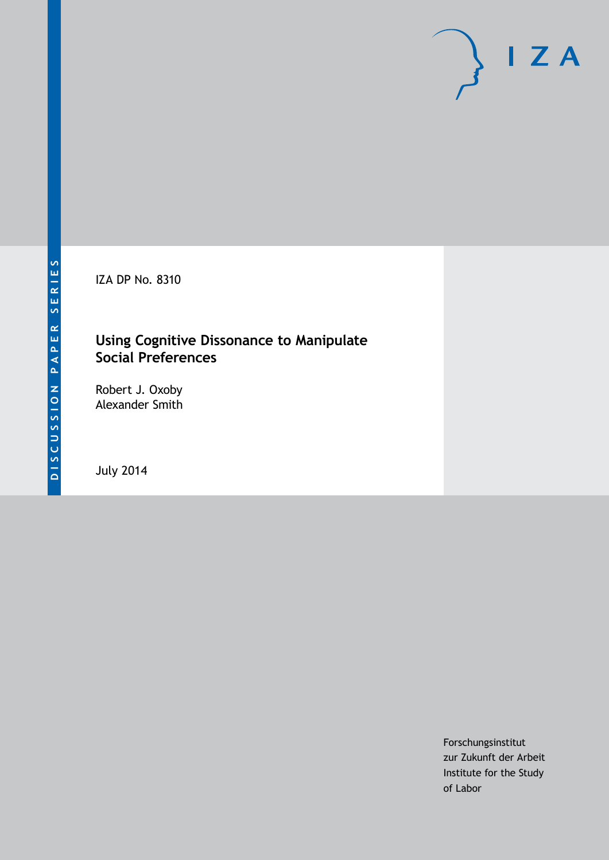IZA DP No. 8310

# **Using Cognitive Dissonance to Manipulate Social Preferences**

Robert J. Oxoby Alexander Smith

July 2014

Forschungsinstitut zur Zukunft der Arbeit Institute for the Study of Labor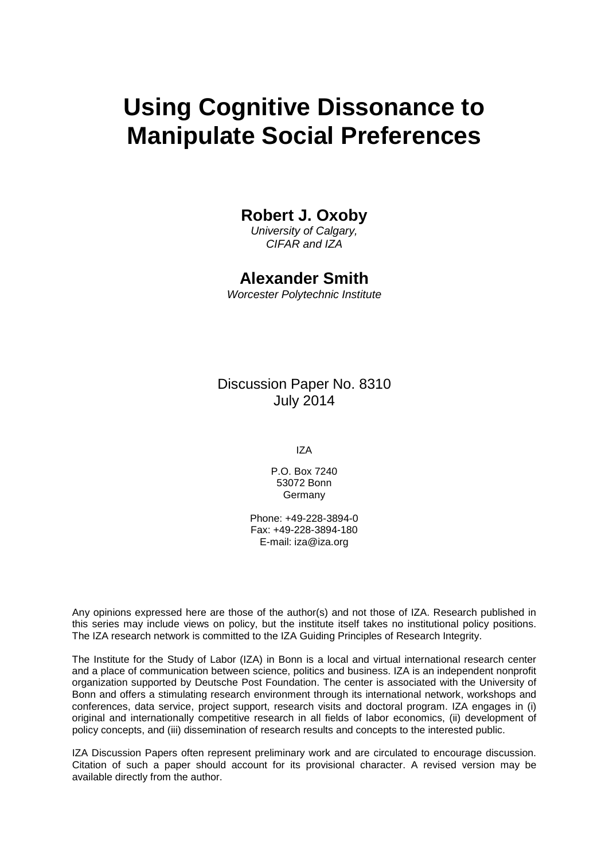# **Using Cognitive Dissonance to Manipulate Social Preferences**

## **Robert J. Oxoby**

*University of Calgary, CIFAR and IZA*

## **Alexander Smith**

*Worcester Polytechnic Institute*

Discussion Paper No. 8310 July 2014

IZA

P.O. Box 7240 53072 Bonn Germany

Phone: +49-228-3894-0 Fax: +49-228-3894-180 E-mail: [iza@iza.org](mailto:iza@iza.org)

Any opinions expressed here are those of the author(s) and not those of IZA. Research published in this series may include views on policy, but the institute itself takes no institutional policy positions. The IZA research network is committed to the IZA Guiding Principles of Research Integrity.

The Institute for the Study of Labor (IZA) in Bonn is a local and virtual international research center and a place of communication between science, politics and business. IZA is an independent nonprofit organization supported by Deutsche Post Foundation. The center is associated with the University of Bonn and offers a stimulating research environment through its international network, workshops and conferences, data service, project support, research visits and doctoral program. IZA engages in (i) original and internationally competitive research in all fields of labor economics, (ii) development of policy concepts, and (iii) dissemination of research results and concepts to the interested public.

<span id="page-1-0"></span>IZA Discussion Papers often represent preliminary work and are circulated to encourage discussion. Citation of such a paper should account for its provisional character. A revised version may be available directly from the author.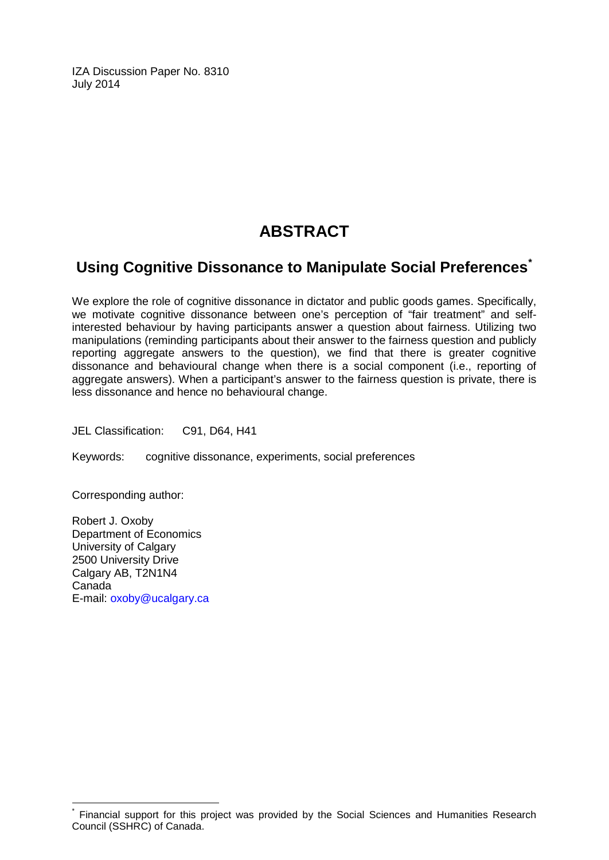IZA Discussion Paper No. 8310 July 2014

# **ABSTRACT**

# **Using Cognitive Dissonance to Manipulate Social Preferences[\\*](#page-1-0)**

We explore the role of cognitive dissonance in dictator and public goods games. Specifically, we motivate cognitive dissonance between one's perception of "fair treatment" and selfinterested behaviour by having participants answer a question about fairness. Utilizing two manipulations (reminding participants about their answer to the fairness question and publicly reporting aggregate answers to the question), we find that there is greater cognitive dissonance and behavioural change when there is a social component (i.e., reporting of aggregate answers). When a participant's answer to the fairness question is private, there is less dissonance and hence no behavioural change.

JEL Classification: C91, D64, H41

Keywords: cognitive dissonance, experiments, social preferences

Corresponding author:

Robert J. Oxoby Department of Economics University of Calgary 2500 University Drive Calgary AB, T2N1N4 Canada E-mail: [oxoby@ucalgary.ca](mailto:oxoby@ucalgary.ca)

Financial support for this project was provided by the Social Sciences and Humanities Research Council (SSHRC) of Canada.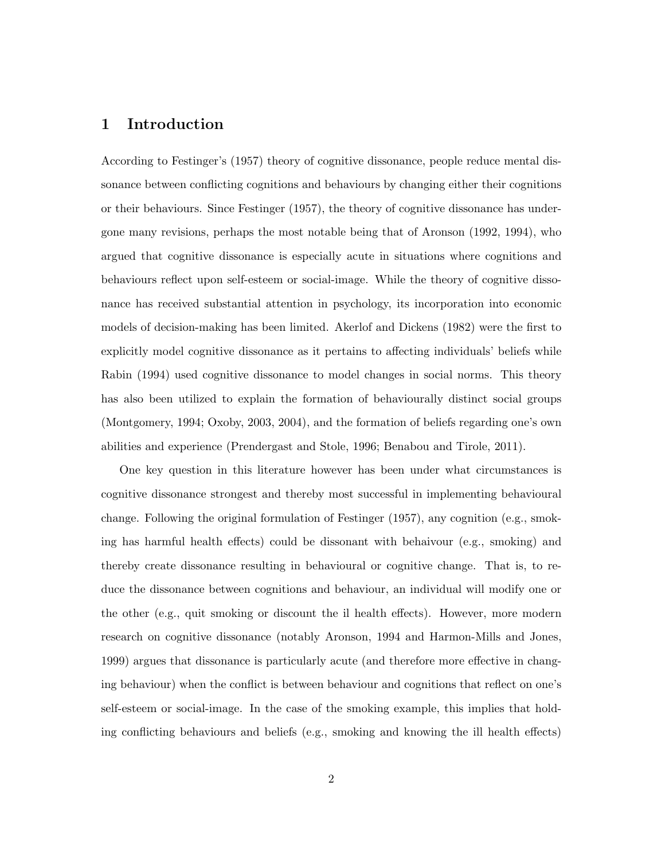#### 1 Introduction

According to Festinger's (1957) theory of cognitive dissonance, people reduce mental dissonance between conflicting cognitions and behaviours by changing either their cognitions or their behaviours. Since Festinger (1957), the theory of cognitive dissonance has undergone many revisions, perhaps the most notable being that of Aronson (1992, 1994), who argued that cognitive dissonance is especially acute in situations where cognitions and behaviours reflect upon self-esteem or social-image. While the theory of cognitive dissonance has received substantial attention in psychology, its incorporation into economic models of decision-making has been limited. Akerlof and Dickens (1982) were the first to explicitly model cognitive dissonance as it pertains to affecting individuals' beliefs while Rabin (1994) used cognitive dissonance to model changes in social norms. This theory has also been utilized to explain the formation of behaviourally distinct social groups (Montgomery, 1994; Oxoby, 2003, 2004), and the formation of beliefs regarding one's own abilities and experience (Prendergast and Stole, 1996; Benabou and Tirole, 2011).

One key question in this literature however has been under what circumstances is cognitive dissonance strongest and thereby most successful in implementing behavioural change. Following the original formulation of Festinger (1957), any cognition (e.g., smoking has harmful health effects) could be dissonant with behaivour (e.g., smoking) and thereby create dissonance resulting in behavioural or cognitive change. That is, to reduce the dissonance between cognitions and behaviour, an individual will modify one or the other (e.g., quit smoking or discount the il health effects). However, more modern research on cognitive dissonance (notably Aronson, 1994 and Harmon-Mills and Jones, 1999) argues that dissonance is particularly acute (and therefore more effective in changing behaviour) when the conflict is between behaviour and cognitions that reflect on one's self-esteem or social-image. In the case of the smoking example, this implies that holding conflicting behaviours and beliefs (e.g., smoking and knowing the ill health effects)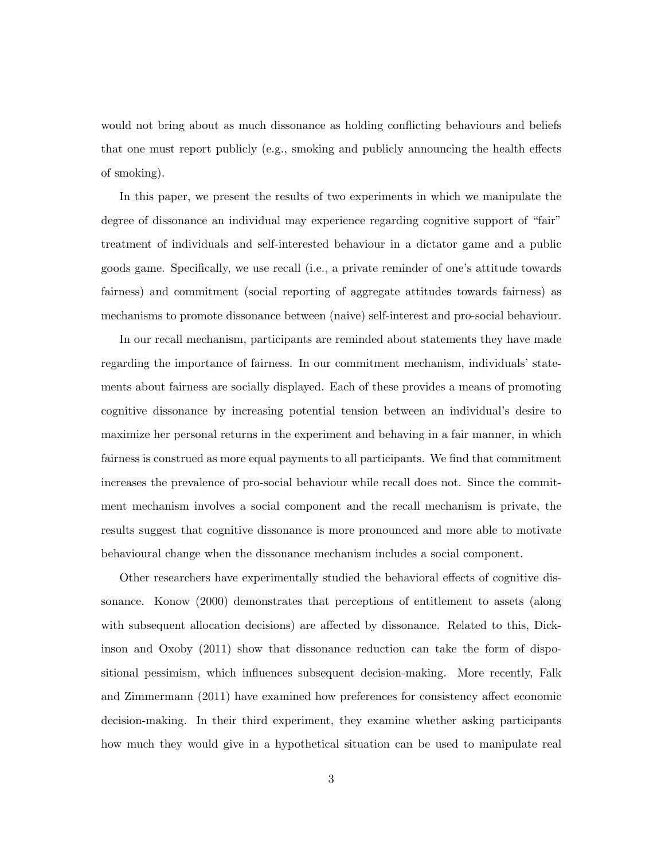would not bring about as much dissonance as holding conflicting behaviours and beliefs that one must report publicly (e.g., smoking and publicly announcing the health effects of smoking).

In this paper, we present the results of two experiments in which we manipulate the degree of dissonance an individual may experience regarding cognitive support of "fair" treatment of individuals and self-interested behaviour in a dictator game and a public goods game. Specifically, we use recall (i.e., a private reminder of one's attitude towards fairness) and commitment (social reporting of aggregate attitudes towards fairness) as mechanisms to promote dissonance between (naive) self-interest and pro-social behaviour.

In our recall mechanism, participants are reminded about statements they have made regarding the importance of fairness. In our commitment mechanism, individuals' statements about fairness are socially displayed. Each of these provides a means of promoting cognitive dissonance by increasing potential tension between an individual's desire to maximize her personal returns in the experiment and behaving in a fair manner, in which fairness is construed as more equal payments to all participants. We find that commitment increases the prevalence of pro-social behaviour while recall does not. Since the commitment mechanism involves a social component and the recall mechanism is private, the results suggest that cognitive dissonance is more pronounced and more able to motivate behavioural change when the dissonance mechanism includes a social component.

Other researchers have experimentally studied the behavioral effects of cognitive dissonance. Konow (2000) demonstrates that perceptions of entitlement to assets (along with subsequent allocation decisions) are affected by dissonance. Related to this, Dickinson and Oxoby (2011) show that dissonance reduction can take the form of dispositional pessimism, which influences subsequent decision-making. More recently, Falk and Zimmermann (2011) have examined how preferences for consistency affect economic decision-making. In their third experiment, they examine whether asking participants how much they would give in a hypothetical situation can be used to manipulate real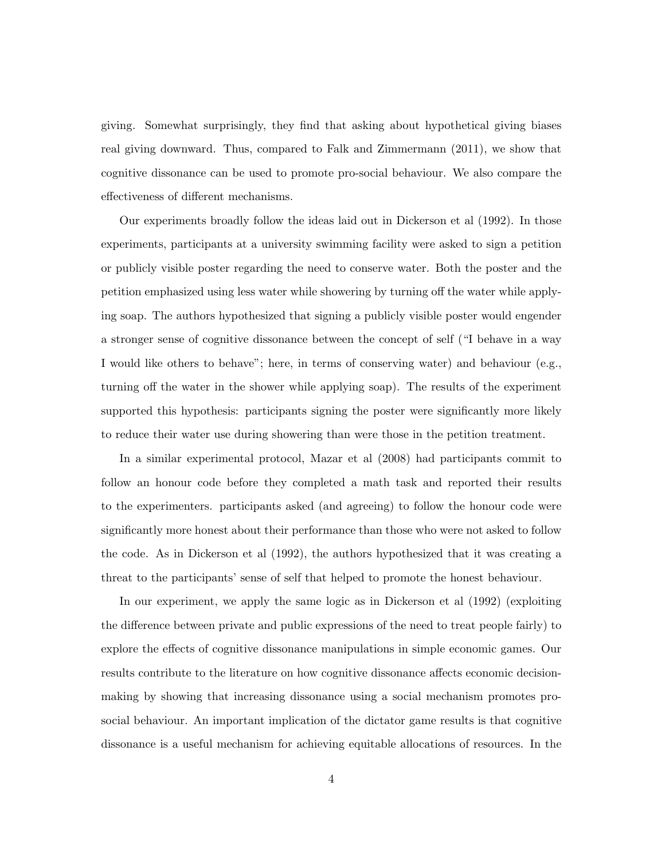giving. Somewhat surprisingly, they find that asking about hypothetical giving biases real giving downward. Thus, compared to Falk and Zimmermann (2011), we show that cognitive dissonance can be used to promote pro-social behaviour. We also compare the effectiveness of different mechanisms.

Our experiments broadly follow the ideas laid out in Dickerson et al (1992). In those experiments, participants at a university swimming facility were asked to sign a petition or publicly visible poster regarding the need to conserve water. Both the poster and the petition emphasized using less water while showering by turning off the water while applying soap. The authors hypothesized that signing a publicly visible poster would engender a stronger sense of cognitive dissonance between the concept of self ("I behave in a way I would like others to behave"; here, in terms of conserving water) and behaviour (e.g., turning off the water in the shower while applying soap). The results of the experiment supported this hypothesis: participants signing the poster were significantly more likely to reduce their water use during showering than were those in the petition treatment.

In a similar experimental protocol, Mazar et al (2008) had participants commit to follow an honour code before they completed a math task and reported their results to the experimenters. participants asked (and agreeing) to follow the honour code were significantly more honest about their performance than those who were not asked to follow the code. As in Dickerson et al (1992), the authors hypothesized that it was creating a threat to the participants' sense of self that helped to promote the honest behaviour.

In our experiment, we apply the same logic as in Dickerson et al (1992) (exploiting the difference between private and public expressions of the need to treat people fairly) to explore the effects of cognitive dissonance manipulations in simple economic games. Our results contribute to the literature on how cognitive dissonance affects economic decisionmaking by showing that increasing dissonance using a social mechanism promotes prosocial behaviour. An important implication of the dictator game results is that cognitive dissonance is a useful mechanism for achieving equitable allocations of resources. In the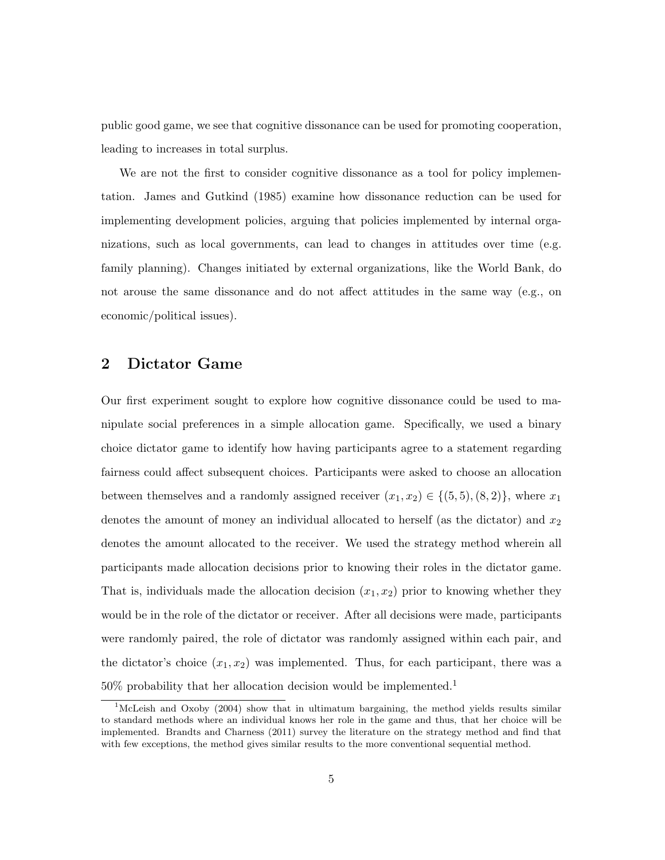public good game, we see that cognitive dissonance can be used for promoting cooperation, leading to increases in total surplus.

We are not the first to consider cognitive dissonance as a tool for policy implementation. James and Gutkind (1985) examine how dissonance reduction can be used for implementing development policies, arguing that policies implemented by internal organizations, such as local governments, can lead to changes in attitudes over time (e.g. family planning). Changes initiated by external organizations, like the World Bank, do not arouse the same dissonance and do not affect attitudes in the same way (e.g., on economic/political issues).

#### 2 Dictator Game

Our first experiment sought to explore how cognitive dissonance could be used to manipulate social preferences in a simple allocation game. Specifically, we used a binary choice dictator game to identify how having participants agree to a statement regarding fairness could affect subsequent choices. Participants were asked to choose an allocation between themselves and a randomly assigned receiver  $(x_1, x_2) \in \{(5, 5), (8, 2)\}\,$ , where  $x_1$ denotes the amount of money an individual allocated to herself (as the dictator) and  $x_2$ denotes the amount allocated to the receiver. We used the strategy method wherein all participants made allocation decisions prior to knowing their roles in the dictator game. That is, individuals made the allocation decision  $(x_1, x_2)$  prior to knowing whether they would be in the role of the dictator or receiver. After all decisions were made, participants were randomly paired, the role of dictator was randomly assigned within each pair, and the dictator's choice  $(x_1, x_2)$  was implemented. Thus, for each participant, there was a  $50\%$  probability that her allocation decision would be implemented.<sup>1</sup>

<sup>&</sup>lt;sup>1</sup>McLeish and Oxoby (2004) show that in ultimatum bargaining, the method yields results similar to standard methods where an individual knows her role in the game and thus, that her choice will be implemented. Brandts and Charness (2011) survey the literature on the strategy method and find that with few exceptions, the method gives similar results to the more conventional sequential method.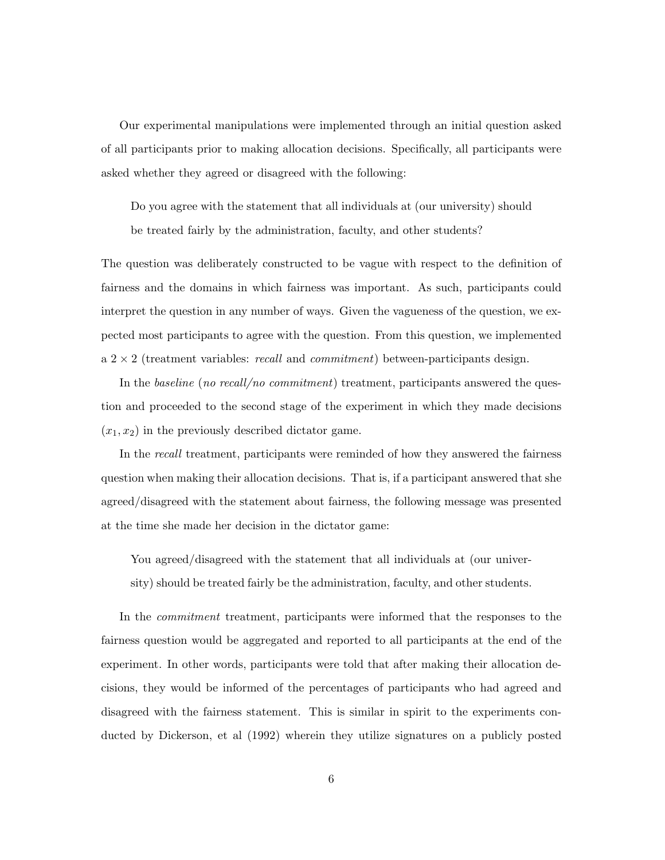Our experimental manipulations were implemented through an initial question asked of all participants prior to making allocation decisions. Specifically, all participants were asked whether they agreed or disagreed with the following:

Do you agree with the statement that all individuals at (our university) should be treated fairly by the administration, faculty, and other students?

The question was deliberately constructed to be vague with respect to the definition of fairness and the domains in which fairness was important. As such, participants could interpret the question in any number of ways. Given the vagueness of the question, we expected most participants to agree with the question. From this question, we implemented  $a \, 2 \times 2$  (treatment variables: *recall* and *commitment*) between-participants design.

In the baseline (no recall/no commitment) treatment, participants answered the question and proceeded to the second stage of the experiment in which they made decisions  $(x_1, x_2)$  in the previously described dictator game.

In the recall treatment, participants were reminded of how they answered the fairness question when making their allocation decisions. That is, if a participant answered that she agreed/disagreed with the statement about fairness, the following message was presented at the time she made her decision in the dictator game:

You agreed/disagreed with the statement that all individuals at (our university) should be treated fairly be the administration, faculty, and other students.

In the *commitment* treatment, participants were informed that the responses to the fairness question would be aggregated and reported to all participants at the end of the experiment. In other words, participants were told that after making their allocation decisions, they would be informed of the percentages of participants who had agreed and disagreed with the fairness statement. This is similar in spirit to the experiments conducted by Dickerson, et al (1992) wherein they utilize signatures on a publicly posted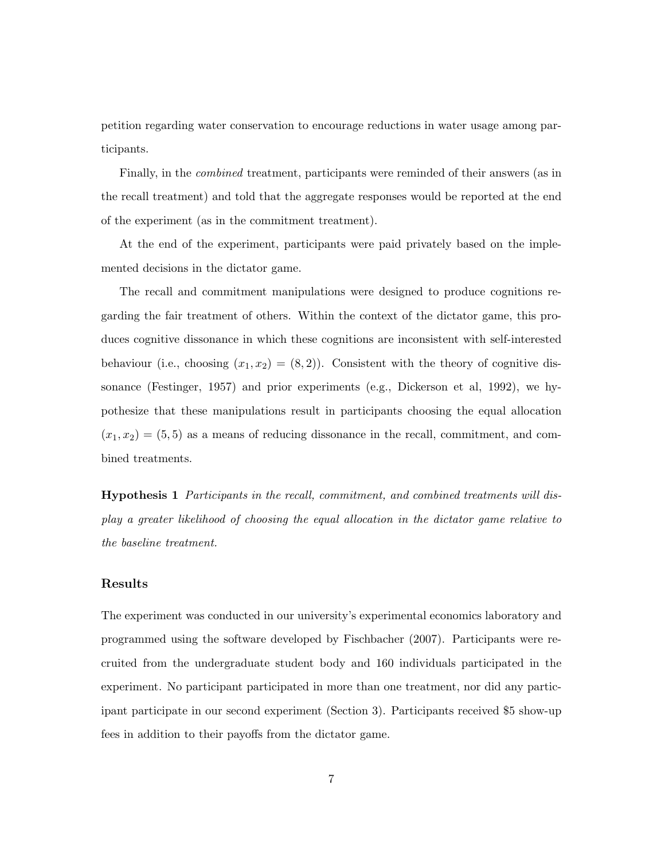petition regarding water conservation to encourage reductions in water usage among participants.

Finally, in the combined treatment, participants were reminded of their answers (as in the recall treatment) and told that the aggregate responses would be reported at the end of the experiment (as in the commitment treatment).

At the end of the experiment, participants were paid privately based on the implemented decisions in the dictator game.

The recall and commitment manipulations were designed to produce cognitions regarding the fair treatment of others. Within the context of the dictator game, this produces cognitive dissonance in which these cognitions are inconsistent with self-interested behaviour (i.e., choosing  $(x_1, x_2) = (8, 2)$ ). Consistent with the theory of cognitive dissonance (Festinger, 1957) and prior experiments (e.g., Dickerson et al, 1992), we hypothesize that these manipulations result in participants choosing the equal allocation  $(x_1, x_2) = (5, 5)$  as a means of reducing dissonance in the recall, commitment, and combined treatments.

Hypothesis 1 Participants in the recall, commitment, and combined treatments will display a greater likelihood of choosing the equal allocation in the dictator game relative to the baseline treatment.

#### Results

The experiment was conducted in our university's experimental economics laboratory and programmed using the software developed by Fischbacher (2007). Participants were recruited from the undergraduate student body and 160 individuals participated in the experiment. No participant participated in more than one treatment, nor did any participant participate in our second experiment (Section 3). Participants received \$5 show-up fees in addition to their payoffs from the dictator game.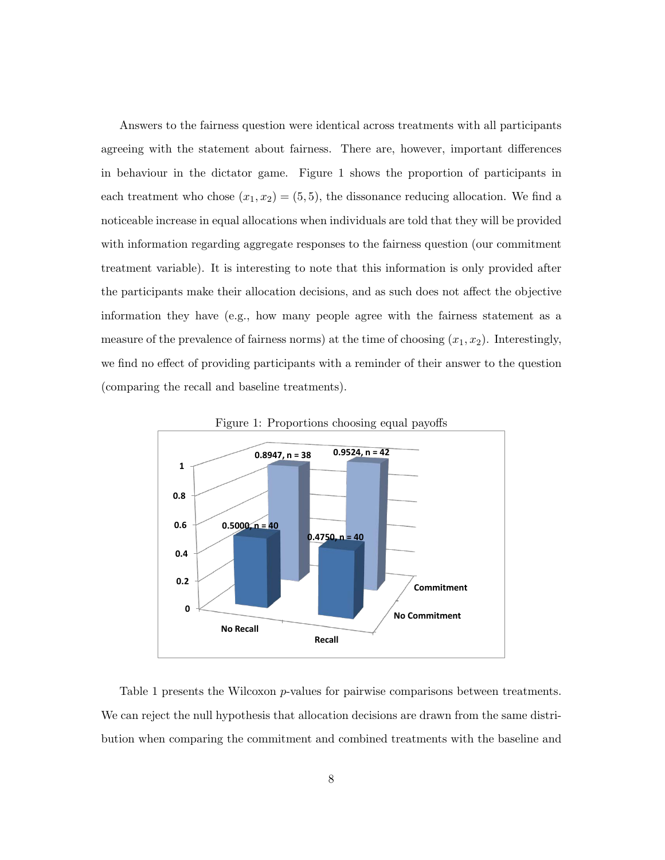Answers to the fairness question were identical across treatments with all participants agreeing with the statement about fairness. There are, however, important differences in behaviour in the dictator game. Figure 1 shows the proportion of participants in each treatment who chose  $(x_1, x_2) = (5, 5)$ , the dissonance reducing allocation. We find a noticeable increase in equal allocations when individuals are told that they will be provided with information regarding aggregate responses to the fairness question (our commitment treatment variable). It is interesting to note that this information is only provided after the participants make their allocation decisions, and as such does not affect the objective information they have (e.g., how many people agree with the fairness statement as a measure of the prevalence of fairness norms) at the time of choosing  $(x_1, x_2)$ . Interestingly, we find no effect of providing participants with a reminder of their answer to the question (comparing the recall and baseline treatments).



Figure 1: Proportions choosing equal payoffs

Table 1 presents the Wilcoxon p-values for pairwise comparisons between treatments. We can reject the null hypothesis that allocation decisions are drawn from the same distribution when comparing the commitment and combined treatments with the baseline and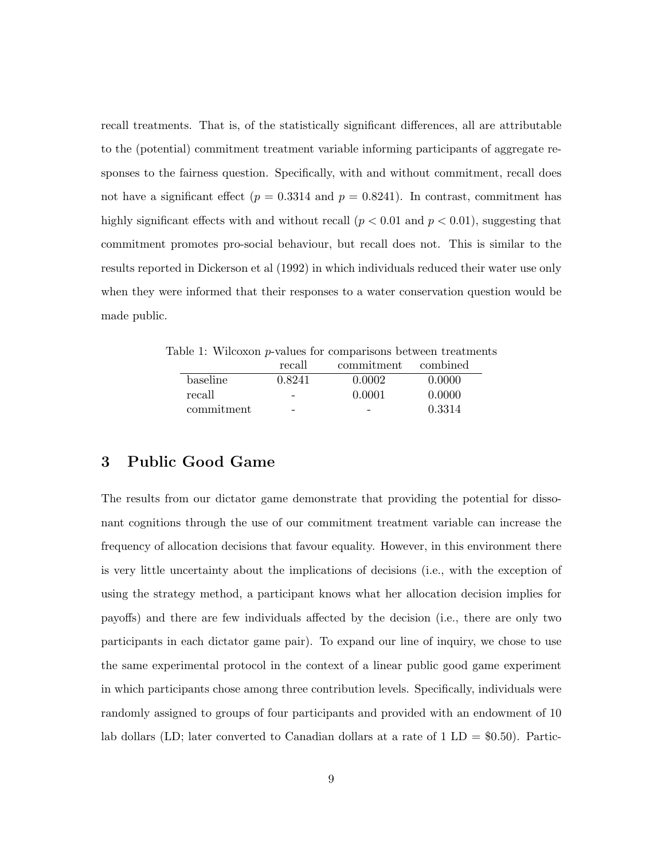recall treatments. That is, of the statistically significant differences, all are attributable to the (potential) commitment treatment variable informing participants of aggregate responses to the fairness question. Specifically, with and without commitment, recall does not have a significant effect ( $p = 0.3314$  and  $p = 0.8241$ ). In contrast, commitment has highly significant effects with and without recall  $(p < 0.01$  and  $p < 0.01$ ), suggesting that commitment promotes pro-social behaviour, but recall does not. This is similar to the results reported in Dickerson et al (1992) in which individuals reduced their water use only when they were informed that their responses to a water conservation question would be made public.

Table 1: Wilcoxon p-values for comparisons between treatments

|            | recall | commitment | combined |
|------------|--------|------------|----------|
| baseline   | 0.8241 | 0.0002     | 0.0000   |
| recall     | -      | 0.0001     | 0.0000   |
| commitment | -      |            | 0.3314   |

#### 3 Public Good Game

The results from our dictator game demonstrate that providing the potential for dissonant cognitions through the use of our commitment treatment variable can increase the frequency of allocation decisions that favour equality. However, in this environment there is very little uncertainty about the implications of decisions (i.e., with the exception of using the strategy method, a participant knows what her allocation decision implies for payoffs) and there are few individuals affected by the decision (i.e., there are only two participants in each dictator game pair). To expand our line of inquiry, we chose to use the same experimental protocol in the context of a linear public good game experiment in which participants chose among three contribution levels. Specifically, individuals were randomly assigned to groups of four participants and provided with an endowment of 10 lab dollars (LD; later converted to Canadian dollars at a rate of  $1 \text{ LD} = $0.50$ ). Partic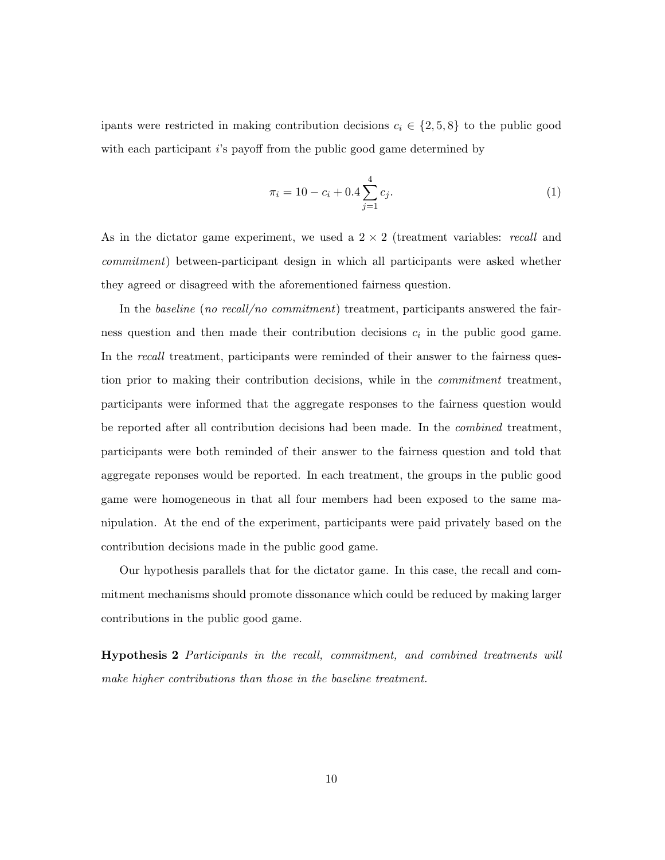ipants were restricted in making contribution decisions  $c_i \in \{2, 5, 8\}$  to the public good with each participant  $i$ 's payoff from the public good game determined by

$$
\pi_i = 10 - c_i + 0.4 \sum_{j=1}^{4} c_j.
$$
\n(1)

As in the dictator game experiment, we used a  $2 \times 2$  (treatment variables: *recall* and commitment) between-participant design in which all participants were asked whether they agreed or disagreed with the aforementioned fairness question.

In the baseline (no recall/no commitment) treatment, participants answered the fairness question and then made their contribution decisions  $c_i$  in the public good game. In the *recall* treatment, participants were reminded of their answer to the fairness question prior to making their contribution decisions, while in the *commitment* treatment, participants were informed that the aggregate responses to the fairness question would be reported after all contribution decisions had been made. In the combined treatment, participants were both reminded of their answer to the fairness question and told that aggregate reponses would be reported. In each treatment, the groups in the public good game were homogeneous in that all four members had been exposed to the same manipulation. At the end of the experiment, participants were paid privately based on the contribution decisions made in the public good game.

Our hypothesis parallels that for the dictator game. In this case, the recall and commitment mechanisms should promote dissonance which could be reduced by making larger contributions in the public good game.

Hypothesis 2 Participants in the recall, commitment, and combined treatments will make higher contributions than those in the baseline treatment.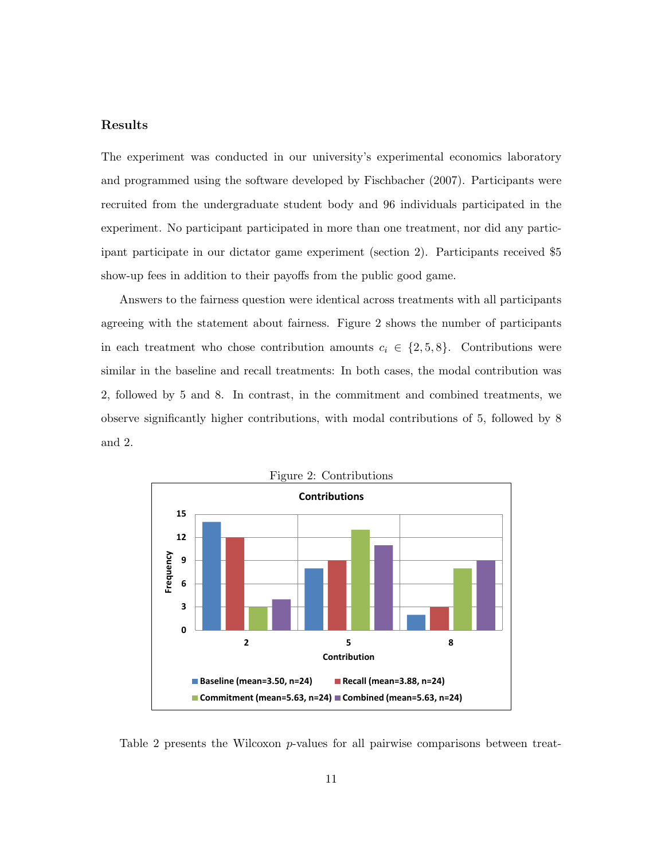#### Results

The experiment was conducted in our university's experimental economics laboratory and programmed using the software developed by Fischbacher (2007). Participants were recruited from the undergraduate student body and 96 individuals participated in the experiment. No participant participated in more than one treatment, nor did any participant participate in our dictator game experiment (section 2). Participants received \$5 show-up fees in addition to their payoffs from the public good game.

Answers to the fairness question were identical across treatments with all participants agreeing with the statement about fairness. Figure 2 shows the number of participants in each treatment who chose contribution amounts  $c_i \in \{2, 5, 8\}$ . Contributions were similar in the baseline and recall treatments: In both cases, the modal contribution was 2, followed by 5 and 8. In contrast, in the commitment and combined treatments, we observe significantly higher contributions, with modal contributions of 5, followed by 8 and 2.



Table 2 presents the Wilcoxon p-values for all pairwise comparisons between treat-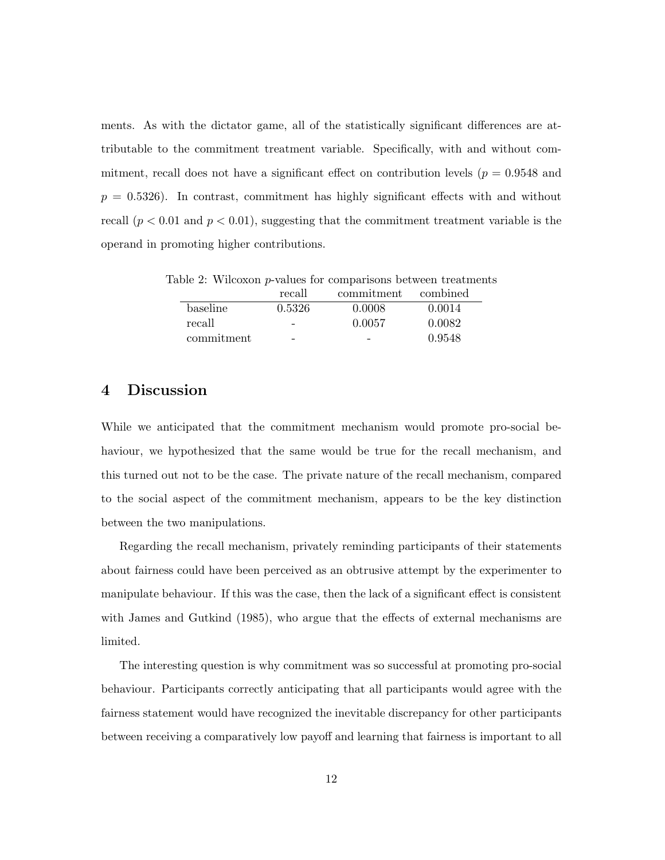ments. As with the dictator game, all of the statistically significant differences are attributable to the commitment treatment variable. Specifically, with and without commitment, recall does not have a significant effect on contribution levels ( $p = 0.9548$  and  $p = 0.5326$ . In contrast, commitment has highly significant effects with and without recall  $(p < 0.01$  and  $p < 0.01$ ), suggesting that the commitment treatment variable is the operand in promoting higher contributions.

Table 2: Wilcoxon p-values for comparisons between treatments

|            | recall                   | commitment combined |        |
|------------|--------------------------|---------------------|--------|
| baseline   | 0.5326                   | 0.0008              | 0.0014 |
| recall     | $\overline{\phantom{0}}$ | 0.0057              | 0.0082 |
| commitment | -                        | -                   | 0.9548 |

#### 4 Discussion

While we anticipated that the commitment mechanism would promote pro-social behaviour, we hypothesized that the same would be true for the recall mechanism, and this turned out not to be the case. The private nature of the recall mechanism, compared to the social aspect of the commitment mechanism, appears to be the key distinction between the two manipulations.

Regarding the recall mechanism, privately reminding participants of their statements about fairness could have been perceived as an obtrusive attempt by the experimenter to manipulate behaviour. If this was the case, then the lack of a significant effect is consistent with James and Gutkind (1985), who argue that the effects of external mechanisms are limited.

The interesting question is why commitment was so successful at promoting pro-social behaviour. Participants correctly anticipating that all participants would agree with the fairness statement would have recognized the inevitable discrepancy for other participants between receiving a comparatively low payoff and learning that fairness is important to all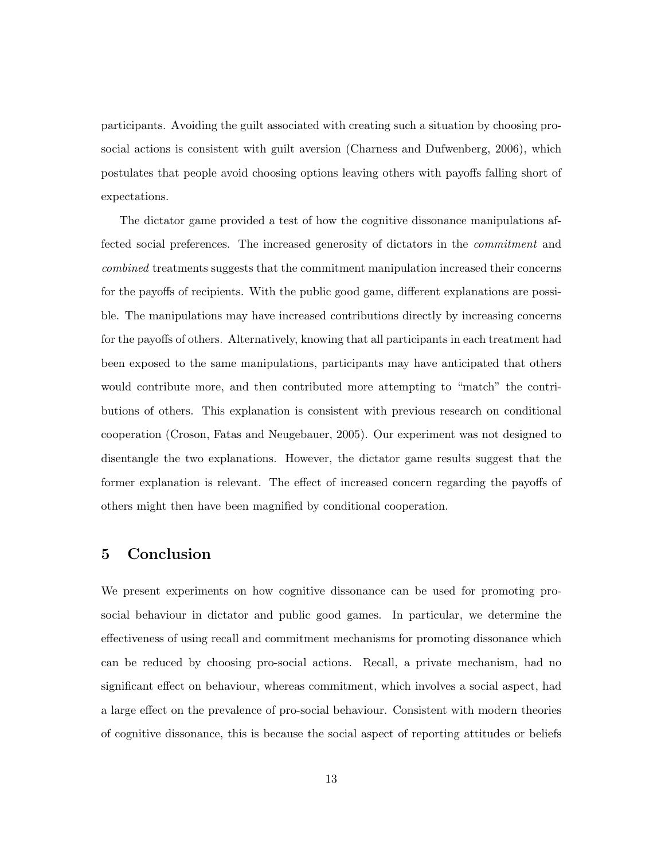participants. Avoiding the guilt associated with creating such a situation by choosing prosocial actions is consistent with guilt aversion (Charness and Dufwenberg, 2006), which postulates that people avoid choosing options leaving others with payoffs falling short of expectations.

The dictator game provided a test of how the cognitive dissonance manipulations affected social preferences. The increased generosity of dictators in the commitment and combined treatments suggests that the commitment manipulation increased their concerns for the payoffs of recipients. With the public good game, different explanations are possible. The manipulations may have increased contributions directly by increasing concerns for the payoffs of others. Alternatively, knowing that all participants in each treatment had been exposed to the same manipulations, participants may have anticipated that others would contribute more, and then contributed more attempting to "match" the contributions of others. This explanation is consistent with previous research on conditional cooperation (Croson, Fatas and Neugebauer, 2005). Our experiment was not designed to disentangle the two explanations. However, the dictator game results suggest that the former explanation is relevant. The effect of increased concern regarding the payoffs of others might then have been magnified by conditional cooperation.

#### 5 Conclusion

We present experiments on how cognitive dissonance can be used for promoting prosocial behaviour in dictator and public good games. In particular, we determine the effectiveness of using recall and commitment mechanisms for promoting dissonance which can be reduced by choosing pro-social actions. Recall, a private mechanism, had no significant effect on behaviour, whereas commitment, which involves a social aspect, had a large effect on the prevalence of pro-social behaviour. Consistent with modern theories of cognitive dissonance, this is because the social aspect of reporting attitudes or beliefs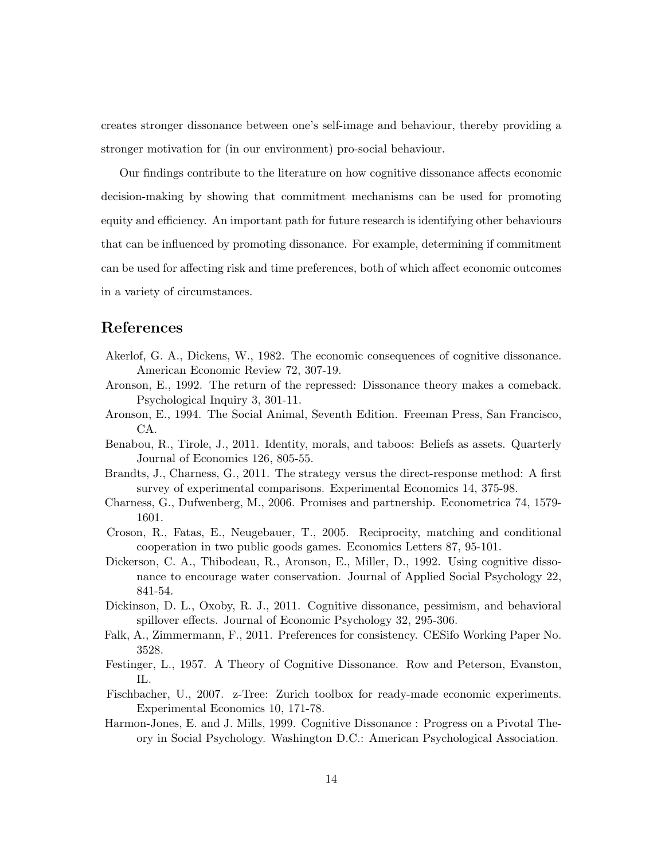creates stronger dissonance between one's self-image and behaviour, thereby providing a stronger motivation for (in our environment) pro-social behaviour.

Our findings contribute to the literature on how cognitive dissonance affects economic decision-making by showing that commitment mechanisms can be used for promoting equity and efficiency. An important path for future research is identifying other behaviours that can be influenced by promoting dissonance. For example, determining if commitment can be used for affecting risk and time preferences, both of which affect economic outcomes in a variety of circumstances.

#### References

- Akerlof, G. A., Dickens, W., 1982. The economic consequences of cognitive dissonance. American Economic Review 72, 307-19.
- Aronson, E., 1992. The return of the repressed: Dissonance theory makes a comeback. Psychological Inquiry 3, 301-11.
- Aronson, E., 1994. The Social Animal, Seventh Edition. Freeman Press, San Francisco, CA.
- Benabou, R., Tirole, J., 2011. Identity, morals, and taboos: Beliefs as assets. Quarterly Journal of Economics 126, 805-55.
- Brandts, J., Charness, G., 2011. The strategy versus the direct-response method: A first survey of experimental comparisons. Experimental Economics 14, 375-98.
- Charness, G., Dufwenberg, M., 2006. Promises and partnership. Econometrica 74, 1579- 1601.
- Croson, R., Fatas, E., Neugebauer, T., 2005. Reciprocity, matching and conditional cooperation in two public goods games. Economics Letters 87, 95-101.
- Dickerson, C. A., Thibodeau, R., Aronson, E., Miller, D., 1992. Using cognitive dissonance to encourage water conservation. Journal of Applied Social Psychology 22, 841-54.
- Dickinson, D. L., Oxoby, R. J., 2011. Cognitive dissonance, pessimism, and behavioral spillover effects. Journal of Economic Psychology 32, 295-306.
- Falk, A., Zimmermann, F., 2011. Preferences for consistency. CESifo Working Paper No. 3528.
- Festinger, L., 1957. A Theory of Cognitive Dissonance. Row and Peterson, Evanston, IL.
- Fischbacher, U., 2007. z-Tree: Zurich toolbox for ready-made economic experiments. Experimental Economics 10, 171-78.
- Harmon-Jones, E. and J. Mills, 1999. Cognitive Dissonance : Progress on a Pivotal Theory in Social Psychology. Washington D.C.: American Psychological Association.